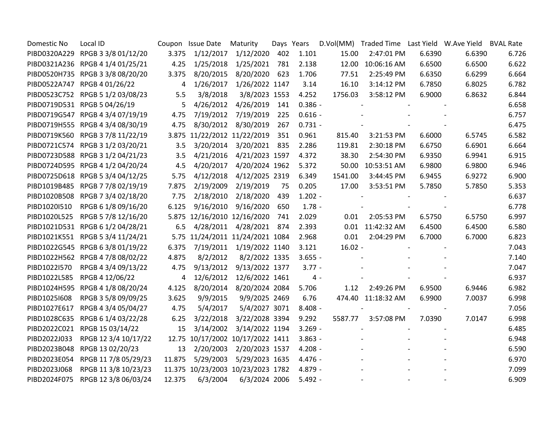| Domestic No  | Local ID                          |        | Coupon Issue Date                 | Maturity                 | Days Years |           |           | D.Vol(MM) Traded Time Last Yield W.Ave Yield |        |        | <b>BVAL Rate</b> |
|--------------|-----------------------------------|--------|-----------------------------------|--------------------------|------------|-----------|-----------|----------------------------------------------|--------|--------|------------------|
|              | PIBD0320A229 RPGB 3 3/8 01/12/20  | 3.375  | 1/12/2017                         | 1/12/2020                | 402        | 1.101     | 15.00     | 2:47:01 PM                                   | 6.6390 | 6.6390 | 6.726            |
|              | PIBD0321A236 RPGB 4 1/4 01/25/21  | 4.25   | 1/25/2018                         | 1/25/2021                | 781        | 2.138     | 12.00     | 10:06:16 AM                                  | 6.6500 | 6.6500 | 6.622            |
|              | PIBD0520H735 RPGB 3 3/8 08/20/20  | 3.375  | 8/20/2015                         | 8/20/2020                | 623        | 1.706     | 77.51     | 2:25:49 PM                                   | 6.6350 | 6.6299 | 6.664            |
|              | PIBD0522A747 RPGB 4 01/26/22      | 4      | 1/26/2017                         | 1/26/2022 1147           |            | 3.14      | 16.10     | 3:14:12 PM                                   | 6.7850 | 6.8025 | 6.782            |
|              | PIBD0523C752 RPGB 5 1/2 03/08/23  | 5.5    | 3/8/2018                          | 3/8/2023 1553            |            | 4.252     | 1756.03   | 3:58:12 PM                                   | 6.9000 | 6.8632 | 6.844            |
|              | PIBD0719D531 RPGB 5 04/26/19      | 5      | 4/26/2012                         | 4/26/2019                | 141        | $0.386 -$ |           |                                              |        |        | 6.658            |
|              | PIBD0719G547 RPGB 4 3/4 07/19/19  | 4.75   | 7/19/2012                         | 7/19/2019                | 225        | $0.616 -$ |           |                                              |        |        | 6.757            |
|              | PIBD0719H555 RPGB 4 3/4 08/30/19  | 4.75   | 8/30/2012                         | 8/30/2019                | 267        | $0.731 -$ |           |                                              |        |        | 6.475            |
|              | PIBD0719K560 RPGB 3 7/8 11/22/19  |        | 3.875 11/22/2012 11/22/2019       |                          | 351        | 0.961     | 815.40    | 3:21:53 PM                                   | 6.6000 | 6.5745 | 6.582            |
|              | PIBD0721C574 RPGB 3 1/2 03/20/21  | 3.5    |                                   | 3/20/2014 3/20/2021 835  |            | 2.286     | 119.81    | 2:30:18 PM                                   | 6.6750 | 6.6901 | 6.664            |
|              | PIBD0723D588 RPGB 3 1/2 04/21/23  | 3.5    | 4/21/2016                         | 4/21/2023 1597           |            | 4.372     | 38.30     | 2:54:30 PM                                   | 6.9350 | 6.9941 | 6.915            |
|              | PIBD0724D595 RPGB 4 1/2 04/20/24  | 4.5    | 4/20/2017                         | 4/20/2024 1962           |            | 5.372     | 50.00     | 10:53:51 AM                                  | 6.9800 | 6.9800 | 6.946            |
|              | PIBD0725D618 RPGB 5 3/4 04/12/25  | 5.75   |                                   | 4/12/2018 4/12/2025 2319 |            | 6.349     | 1541.00   | 3:44:45 PM                                   | 6.9455 | 6.9272 | 6.900            |
|              | PIBD1019B485 RPGB 7 7/8 02/19/19  | 7.875  | 2/19/2009                         | 2/19/2019                | 75         | 0.205     | 17.00     | 3:53:51 PM                                   | 5.7850 | 5.7850 | 5.353            |
|              | PIBD1020B508 RPGB 7 3/4 02/18/20  | 7.75   | 2/18/2010                         | 2/18/2020                | 439        | $1.202 -$ |           |                                              |        |        | 6.637            |
| PIBD1020I510 | RPGB 6 1/8 09/16/20               | 6.125  | 9/16/2010                         | 9/16/2020                | 650        | $1.78 -$  |           |                                              |        |        | 6.778            |
| PIBD1020L525 | RPGB 5 7/8 12/16/20               |        | 5.875 12/16/2010 12/16/2020       |                          | 741        | 2.029     | 0.01      | 2:05:53 PM                                   | 6.5750 | 6.5750 | 6.997            |
|              | PIBD1021D531 RPGB 6 1/2 04/28/21  | 6.5    | 4/28/2011                         | 4/28/2021                | 874        | 2.393     |           | 0.01 11:42:32 AM                             | 6.4500 | 6.4500 | 6.580            |
|              | PIBD1021K551 RPGB 5 3/4 11/24/21  |        | 5.75 11/24/2011 11/24/2021 1084   |                          |            | 2.968     | 0.01      | 2:04:29 PM                                   | 6.7000 | 6.7000 | 6.823            |
|              | PIBD1022G545 RPGB 6 3/8 01/19/22  | 6.375  |                                   | 7/19/2011 1/19/2022 1140 |            | 3.121     | $16.02 -$ |                                              |        |        | 7.043            |
|              | PIBD1022H562 RPGB 4 7/8 08/02/22  | 4.875  | 8/2/2012                          | 8/2/2022 1335            |            | $3.655 -$ |           |                                              |        |        | 7.140            |
| PIBD1022I570 | RPGB 4 3/4 09/13/22               | 4.75   | 9/13/2012                         | 9/13/2022 1377           |            | $3.77 -$  |           |                                              |        |        | 7.047            |
|              | PIBD1022L585 RPGB 4 12/06/22      | 4      | 12/6/2012                         | 12/6/2022 1461           |            | $4 -$     |           |                                              |        |        | 6.937            |
|              | PIBD1024H595 RPGB 4 1/8 08/20/24  | 4.125  |                                   | 8/20/2014 8/20/2024 2084 |            | 5.706     | 1.12      | 2:49:26 PM                                   | 6.9500 | 6.9446 | 6.982            |
| PIBD10251608 | RPGB 3 5/8 09/09/25               | 3.625  | 9/9/2015                          | 9/9/2025 2469            |            | 6.76      |           | 474.40 11:18:32 AM                           | 6.9900 | 7.0037 | 6.998            |
| PIBD1027E617 | RPGB 4 3/4 05/04/27               | 4.75   | 5/4/2017                          | 5/4/2027 3071            |            | $8.408 -$ |           |                                              |        |        | 7.056            |
|              | PIBD1028C635 RPGB 6 1/4 03/22/28  | 6.25   | 3/22/2018                         | 3/22/2028 3394           |            | 9.292     | 5587.77   | 3:57:08 PM                                   | 7.0390 | 7.0147 | 6.998            |
|              | PIBD2022C021 RPGB 15 03/14/22     | 15     | 3/14/2002                         | 3/14/2022 1194           |            | $3.269 -$ |           |                                              |        |        | 6.485            |
| PIBD2022J033 | RPGB 12 3/4 10/17/22              |        | 12.75 10/17/2002 10/17/2022 1411  |                          |            | $3.863 -$ |           |                                              |        |        | 6.948            |
|              | PIBD2023B048 RPGB 13 02/20/23     | 13     | 2/20/2003                         | 2/20/2023 1537           |            | $4.208 -$ |           |                                              |        |        | 6.590            |
| PIBD2023E054 | RPGB 11 7/8 05/29/23              | 11.875 | 5/29/2003                         | 5/29/2023 1635           |            | 4.476 -   |           |                                              |        |        | 6.970            |
| PIBD2023J068 | RPGB 11 3/8 10/23/23              |        | 11.375 10/23/2003 10/23/2023 1782 |                          |            | 4.879 -   |           |                                              |        |        | 7.099            |
|              | PIBD2024F075 RPGB 12 3/8 06/03/24 | 12.375 | 6/3/2004                          | 6/3/2024 2006            |            | $5.492 -$ |           |                                              |        |        | 6.909            |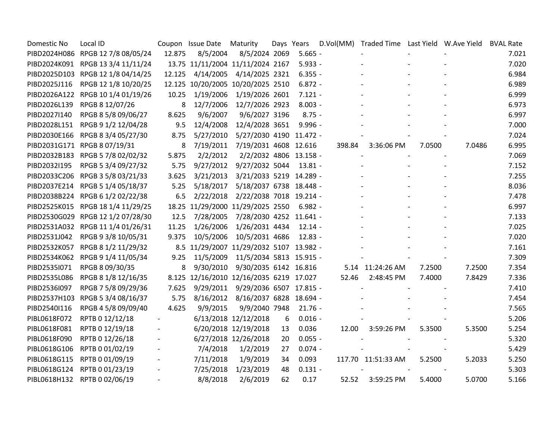| Domestic No  | Local ID                          |        | Coupon Issue Date                       | Maturity                          | Days Years |           |        | D.Vol(MM) Traded Time Last Yield W.Ave Yield |        |        | <b>BVAL Rate</b> |
|--------------|-----------------------------------|--------|-----------------------------------------|-----------------------------------|------------|-----------|--------|----------------------------------------------|--------|--------|------------------|
|              | PIBD2024H086 RPGB 12 7/8 08/05/24 | 12.875 | 8/5/2004                                | 8/5/2024 2069                     |            | $5.665 -$ |        |                                              |        |        | 7.021            |
|              | PIBD2024K091 RPGB 13 3/4 11/11/24 |        | 13.75 11/11/2004 11/11/2024 2167        |                                   |            | $5.933 -$ |        |                                              |        |        | 7.020            |
|              | PIBD2025D103 RPGB 12 1/8 04/14/25 | 12.125 | 4/14/2005                               | 4/14/2025 2321                    |            | $6.355 -$ |        |                                              |        |        | 6.984            |
| PIBD2025J116 | RPGB 12 1/8 10/20/25              |        | 12.125 10/20/2005 10/20/2025 2510       |                                   |            | $6.872 -$ |        |                                              |        |        | 6.989            |
|              | PIBD2026A122 RPGB 10 1/4 01/19/26 | 10.25  | 1/19/2006                               | 1/19/2026 2601                    |            | $7.121 -$ |        |                                              |        |        | 6.999            |
| PIBD2026L139 | RPGB 8 12/07/26                   | 8      | 12/7/2006                               | 12/7/2026 2923                    |            | $8.003 -$ |        |                                              |        |        | 6.973            |
| PIBD2027I140 | RPGB 8 5/8 09/06/27               | 8.625  | 9/6/2007                                | 9/6/2027 3196                     |            | $8.75 -$  |        |                                              |        |        | 6.997            |
| PIBD2028L151 | RPGB 9 1/2 12/04/28               | 9.5    | 12/4/2008                               | 12/4/2028 3651                    |            | $9.996 -$ |        |                                              |        |        | 7.000            |
|              | PIBD2030E166 RPGB 8 3/4 05/27/30  | 8.75   | 5/27/2010                               | 5/27/2030 4190 11.472 -           |            |           |        |                                              |        |        | 7.024            |
|              | PIBD2031G171 RPGB 8 07/19/31      | 8      |                                         | 7/19/2011 7/19/2031 4608 12.616   |            |           | 398.84 | 3:36:06 PM                                   | 7.0500 | 7.0486 | 6.995            |
|              | PIBD2032B183 RPGB 5 7/8 02/02/32  | 5.875  | 2/2/2012                                | 2/2/2032 4806 13.158 -            |            |           |        |                                              |        |        | 7.069            |
| PIBD2032I195 | RPGB 5 3/4 09/27/32               | 5.75   | 9/27/2012                               | 9/27/2032 5044                    |            | $13.81 -$ |        |                                              |        |        | 7.152            |
|              | PIBD2033C206 RPGB 3 5/8 03/21/33  | 3.625  | 3/21/2013                               | 3/21/2033 5219 14.289 -           |            |           |        |                                              |        |        | 7.255            |
| PIBD2037E214 | RPGB 5 1/4 05/18/37               | 5.25   | 5/18/2017                               | 5/18/2037 6738 18.448 -           |            |           |        |                                              |        |        | 8.036            |
|              | PIBD2038B224 RPGB 6 1/2 02/22/38  | 6.5    | 2/22/2018                               | 2/22/2038 7018 19.214 -           |            |           |        |                                              |        |        | 7.478            |
|              | PIBD2525K015 RPGB 18 1/4 11/29/25 |        | 18.25 11/29/2000 11/29/2025 2550        |                                   |            | $6.982 -$ |        |                                              |        |        | 6.997            |
|              | PIBD2530G029 RPGB 12 1/2 07/28/30 | 12.5   | 7/28/2005                               | 7/28/2030 4252 11.641 -           |            |           |        |                                              |        |        | 7.133            |
|              | PIBD2531A032 RPGB 11 1/4 01/26/31 | 11.25  | 1/26/2006                               | 1/26/2031 4434                    |            | $12.14 -$ |        |                                              |        |        | 7.025            |
| PIBD2531J042 | RPGB 9 3/8 10/05/31               | 9.375  | 10/5/2006                               | 10/5/2031 4686                    |            | $12.83 -$ |        |                                              |        |        | 7.020            |
| PIBD2532K057 | RPGB 8 1/2 11/29/32               |        | 8.5 11/29/2007 11/29/2032 5107 13.982 - |                                   |            |           |        |                                              |        |        | 7.161            |
|              | PIBD2534K062 RPGB 9 1/4 11/05/34  | 9.25   | 11/5/2009                               | 11/5/2034 5813 15.915 -           |            |           |        |                                              |        |        | 7.309            |
| PIBD2535I071 | RPGB 8 09/30/35                   | 8      | 9/30/2010                               | 9/30/2035 6142 16.816             |            |           |        | 5.14 11:24:26 AM                             | 7.2500 | 7.2500 | 7.354            |
| PIBD2535L086 | RPGB 8 1/8 12/16/35               |        | 8.125 12/16/2010 12/16/2035 6219 17.027 |                                   |            |           | 52.46  | 2:48:45 PM                                   | 7.4000 | 7.8429 | 7.336            |
| PIBD2536I097 | RPGB 7 5/8 09/29/36               | 7.625  | 9/29/2011                               | 9/29/2036 6507 17.815 -           |            |           |        |                                              |        |        | 7.410            |
|              | PIBD2537H103 RPGB 5 3/4 08/16/37  | 5.75   |                                         | 8/16/2012 8/16/2037 6828 18.694 - |            |           |        |                                              |        |        | 7.454            |
| PIBD2540I116 | RPGB 4 5/8 09/09/40               | 4.625  | 9/9/2015                                | 9/9/2040 7948                     |            | $21.76 -$ |        |                                              |        |        | 7.565            |
| PIBL0618F072 | RPTB 0 12/12/18                   |        |                                         | 6/13/2018 12/12/2018              | 6          | $0.016 -$ |        |                                              |        |        | 5.206            |
| PIBL0618F081 | RPTB 0 12/19/18                   |        |                                         | 6/20/2018 12/19/2018              | 13         | 0.036     | 12.00  | 3:59:26 PM                                   | 5.3500 | 5.3500 | 5.254            |
| PIBL0618F090 | RPTB 0 12/26/18                   |        |                                         | 6/27/2018 12/26/2018              | 20         | $0.055 -$ |        |                                              |        |        | 5.320            |
| PIBL0618G106 | RPTB 0 01/02/19                   |        | 7/4/2018                                | 1/2/2019                          | 27         | $0.074 -$ |        |                                              |        |        | 5.429            |
| PIBL0618G115 | RPTB 0 01/09/19                   |        | 7/11/2018                               | 1/9/2019                          | 34         | 0.093     |        | 117.70 11:51:33 AM                           | 5.2500 | 5.2033 | 5.250            |
| PIBL0618G124 | RPTB 0 01/23/19                   |        | 7/25/2018                               | 1/23/2019                         | 48         | $0.131 -$ |        |                                              |        |        | 5.303            |
|              | PIBL0618H132 RPTB 0 02/06/19      |        | 8/8/2018                                | 2/6/2019                          | 62         | 0.17      |        | 52.52 3:59:25 PM                             | 5.4000 | 5.0700 | 5.166            |
|              |                                   |        |                                         |                                   |            |           |        |                                              |        |        |                  |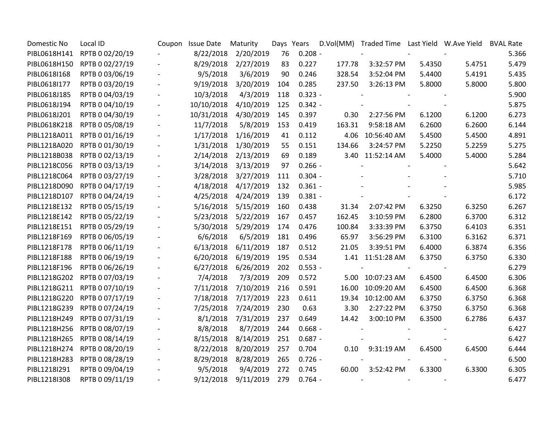| Domestic No  | Local ID        | Coupon | <b>Issue Date</b> | Maturity  | Days Years |           |        | D.Vol(MM) Traded Time Last Yield W.Ave Yield |        |        | <b>BVAL Rate</b> |
|--------------|-----------------|--------|-------------------|-----------|------------|-----------|--------|----------------------------------------------|--------|--------|------------------|
| PIBL0618H141 | RPTB 0 02/20/19 |        | 8/22/2018         | 2/20/2019 | 76         | $0.208 -$ |        |                                              |        |        | 5.366            |
| PIBL0618H150 | RPTB 0 02/27/19 |        | 8/29/2018         | 2/27/2019 | 83         | 0.227     | 177.78 | 3:32:57 PM                                   | 5.4350 | 5.4751 | 5.479            |
| PIBL0618I168 | RPTB 0 03/06/19 |        | 9/5/2018          | 3/6/2019  | 90         | 0.246     | 328.54 | 3:52:04 PM                                   | 5.4400 | 5.4191 | 5.435            |
| PIBL0618I177 | RPTB 0 03/20/19 |        | 9/19/2018         | 3/20/2019 | 104        | 0.285     | 237.50 | 3:26:13 PM                                   | 5.8000 | 5.8000 | 5.800            |
| PIBL0618J185 | RPTB 0 04/03/19 |        | 10/3/2018         | 4/3/2019  | 118        | $0.323 -$ |        |                                              |        |        | 5.900            |
| PIBL0618J194 | RPTB 0 04/10/19 |        | 10/10/2018        | 4/10/2019 | 125        | $0.342 -$ |        |                                              |        |        | 5.875            |
| PIBL0618J201 | RPTB 0 04/30/19 |        | 10/31/2018        | 4/30/2019 | 145        | 0.397     | 0.30   | 2:27:56 PM                                   | 6.1200 | 6.1200 | 6.273            |
| PIBL0618K218 | RPTB 0 05/08/19 |        | 11/7/2018         | 5/8/2019  | 153        | 0.419     | 163.31 | 9:58:18 AM                                   | 6.2600 | 6.2600 | 6.144            |
| PIBL1218A011 | RPTB 0 01/16/19 |        | 1/17/2018         | 1/16/2019 | 41         | 0.112     | 4.06   | 10:56:40 AM                                  | 5.4500 | 5.4500 | 4.891            |
| PIBL1218A020 | RPTB 0 01/30/19 |        | 1/31/2018         | 1/30/2019 | 55         | 0.151     | 134.66 | 3:24:57 PM                                   | 5.2250 | 5.2259 | 5.275            |
| PIBL1218B038 | RPTB 0 02/13/19 |        | 2/14/2018         | 2/13/2019 | 69         | 0.189     |        | 3.40 11:52:14 AM                             | 5.4000 | 5.4000 | 5.284            |
| PIBL1218C056 | RPTB 0 03/13/19 |        | 3/14/2018         | 3/13/2019 | 97         | $0.266 -$ |        |                                              |        |        | 5.642            |
| PIBL1218C064 | RPTB 0 03/27/19 |        | 3/28/2018         | 3/27/2019 | 111        | $0.304 -$ |        |                                              |        |        | 5.710            |
| PIBL1218D090 | RPTB 0 04/17/19 |        | 4/18/2018         | 4/17/2019 | 132        | $0.361 -$ |        |                                              |        |        | 5.985            |
| PIBL1218D107 | RPTB 0 04/24/19 |        | 4/25/2018         | 4/24/2019 | 139        | $0.381 -$ |        |                                              |        |        | 6.172            |
| PIBL1218E132 | RPTB 0 05/15/19 |        | 5/16/2018         | 5/15/2019 | 160        | 0.438     | 31.34  | 2:07:42 PM                                   | 6.3250 | 6.3250 | 6.267            |
| PIBL1218E142 | RPTB 0 05/22/19 |        | 5/23/2018         | 5/22/2019 | 167        | 0.457     | 162.45 | 3:10:59 PM                                   | 6.2800 | 6.3700 | 6.312            |
| PIBL1218E151 | RPTB 0 05/29/19 |        | 5/30/2018         | 5/29/2019 | 174        | 0.476     | 100.84 | 3:33:39 PM                                   | 6.3750 | 6.4103 | 6.351            |
| PIBL1218F169 | RPTB 0 06/05/19 |        | 6/6/2018          | 6/5/2019  | 181        | 0.496     | 65.97  | 3:56:29 PM                                   | 6.3100 | 6.3162 | 6.371            |
| PIBL1218F178 | RPTB 0 06/11/19 |        | 6/13/2018         | 6/11/2019 | 187        | 0.512     | 21.05  | 3:39:51 PM                                   | 6.4000 | 6.3874 | 6.356            |
| PIBL1218F188 | RPTB 0 06/19/19 |        | 6/20/2018         | 6/19/2019 | 195        | 0.534     |        | 1.41 11:51:28 AM                             | 6.3750 | 6.3750 | 6.330            |
| PIBL1218F196 | RPTB 0 06/26/19 |        | 6/27/2018         | 6/26/2019 | 202        | $0.553 -$ |        |                                              |        |        | 6.279            |
| PIBL1218G202 | RPTB 0 07/03/19 |        | 7/4/2018          | 7/3/2019  | 209        | 0.572     |        | 5.00 10:07:23 AM                             | 6.4500 | 6.4500 | 6.306            |
| PIBL1218G211 | RPTB 0 07/10/19 |        | 7/11/2018         | 7/10/2019 | 216        | 0.591     | 16.00  | 10:09:20 AM                                  | 6.4500 | 6.4500 | 6.368            |
| PIBL1218G220 | RPTB 0 07/17/19 |        | 7/18/2018         | 7/17/2019 | 223        | 0.611     | 19.34  | 10:12:00 AM                                  | 6.3750 | 6.3750 | 6.368            |
| PIBL1218G239 | RPTB 0 07/24/19 |        | 7/25/2018         | 7/24/2019 | 230        | 0.63      | 3.30   | 2:27:22 PM                                   | 6.3750 | 6.3750 | 6.368            |
| PIBL1218H249 | RPTB 0 07/31/19 |        | 8/1/2018          | 7/31/2019 | 237        | 0.649     | 14.42  | 3:00:10 PM                                   | 6.3500 | 6.2786 | 6.437            |
| PIBL1218H256 | RPTB 0 08/07/19 |        | 8/8/2018          | 8/7/2019  | 244        | $0.668 -$ |        |                                              |        |        | 6.427            |
| PIBL1218H265 | RPTB 0 08/14/19 |        | 8/15/2018         | 8/14/2019 | 251        | $0.687 -$ |        |                                              |        |        | 6.427            |
| PIBL1218H274 | RPTB 0 08/20/19 |        | 8/22/2018         | 8/20/2019 | 257        | 0.704     |        | 0.10 9:31:19 AM                              | 6.4500 | 6.4500 | 6.444            |
| PIBL1218H283 | RPTB 0 08/28/19 |        | 8/29/2018         | 8/28/2019 | 265        | $0.726 -$ |        |                                              |        |        | 6.500            |
| PIBL1218I291 | RPTB 0 09/04/19 |        | 9/5/2018          | 9/4/2019  | 272        | 0.745     | 60.00  | 3:52:42 PM                                   | 6.3300 | 6.3300 | 6.305            |
| PIBL1218I308 | RPTB 0 09/11/19 |        | 9/12/2018         | 9/11/2019 | 279        | $0.764 -$ |        |                                              |        |        | 6.477            |